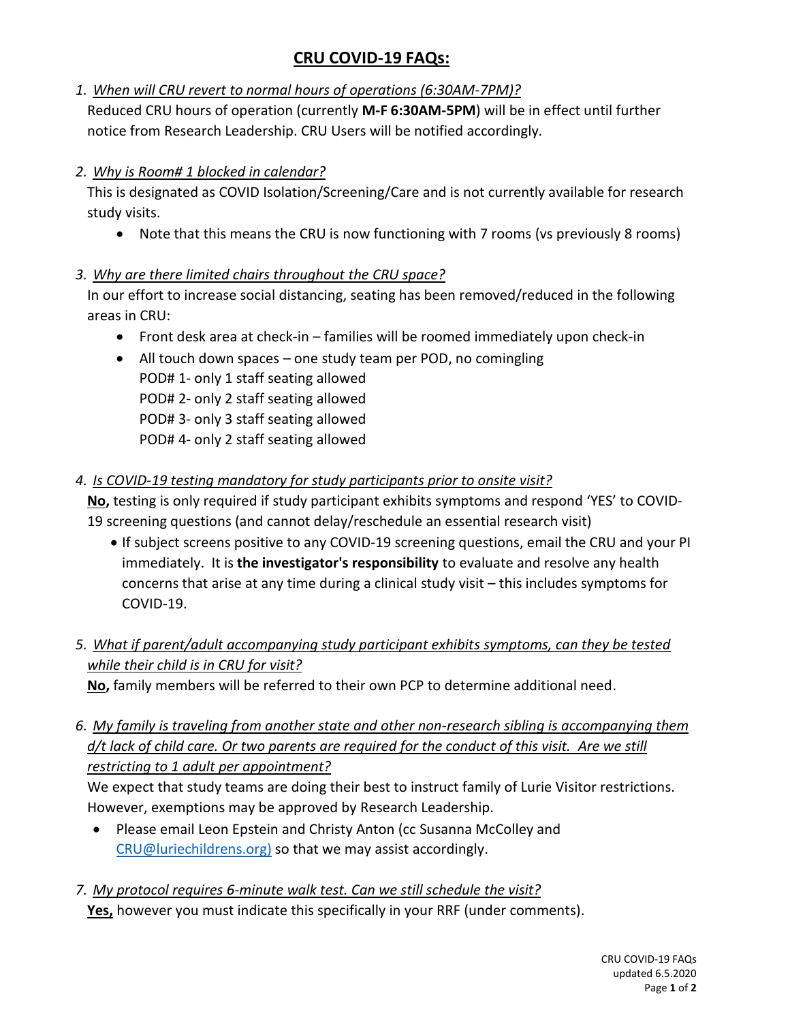# **CRU COVID-19 FAQs:**

*1. When will CRU revert to normal hours of operations (6:30AM-7PM)?*

Reduced CRU hours of operation (currently **M-F 6:30AM-5PM**) will be in effect until further notice from Research Leadership. CRU Users will be notified accordingly.

#### *2. Why is Room# 1 blocked in calendar?*

This is designated as COVID Isolation/Screening/Care and is not currently available for research study visits.

• Note that this means the CRU is now functioning with 7 rooms (vs previously 8 rooms)

### *3. Why are there limited chairs throughout the CRU space?*

In our effort to increase social distancing, seating has been removed/reduced in the following areas in CRU:

- Front desk area at check-in families will be roomed immediately upon check-in
- All touch down spaces one study team per POD, no comingling
- POD# 1- only 1 staff seating allowed POD# 2- only 2 staff seating allowed POD# 3- only 3 staff seating allowed POD# 4- only 2 staff seating allowed

# *4. Is COVID-19 testing mandatory for study participants prior to onsite visit?*

**No,** testing is only required if study participant exhibits symptoms and respond 'YES' to COVID-19 screening questions (and cannot delay/reschedule an essential research visit)

- If subject screens positive to any COVID-19 screening questions, email the CRU and your PI immediately. It is **the investigator's responsibility** to evaluate and resolve any health concerns that arise at any time during a clinical study visit – this includes symptoms for COVID-19.
- *5. What if parent/adult accompanying study participant exhibits symptoms, can they be tested while their child is in CRU for visit?*

**No,** family members will be referred to their own PCP to determine additional need.

*6. My family is traveling from another state and other non-research sibling is accompanying them d/t lack of child care. Or two parents are required for the conduct of this visit. Are we still restricting to 1 adult per appointment?*

We expect that study teams are doing their best to instruct family of Lurie Visitor restrictions. However, exemptions may be approved by Research Leadership.

- Please email Leon Epstein and Christy Anton (cc Susanna McColley and [CRU@luriechildrens.org\)](mailto:CRU@luriechildrens.org) so that we may assist accordingly.
- *7. My protocol requires 6-minute walk test. Can we still schedule the visit?*

**Yes,** however you must indicate this specifically in your RRF (under comments).